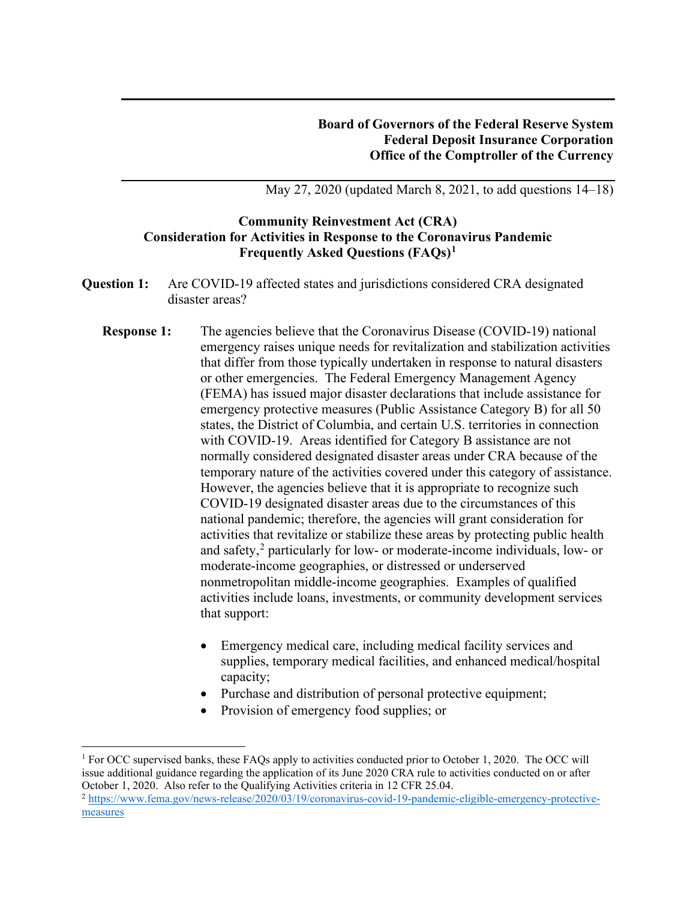May 27, 2020 (updated March 8, 2021, to add questions 14–18)

## **Community Reinvestment Act (CRA) Consideration for Activities in Response to the Coronavirus Pandemic Frequently Asked Questions (FAQs)[1](#page-0-0)**

- **Question 1:** Are COVID-19 affected states and jurisdictions considered CRA designated disaster areas?
	- **Response 1:** The agencies believe that the Coronavirus Disease (COVID-19) national emergency raises unique needs for revitalization and stabilization activities that differ from those typically undertaken in response to natural disasters or other emergencies. The Federal Emergency Management Agency (FEMA) has issued major disaster declarations that include assistance for emergency protective measures (Public Assistance Category B) for all 50 states, the District of Columbia, and certain U.S. territories in connection with COVID-19. Areas identified for Category B assistance are not normally considered designated disaster areas under CRA because of the temporary nature of the activities covered under this category of assistance. However, the agencies believe that it is appropriate to recognize such COVID-19 designated disaster areas due to the circumstances of this national pandemic; therefore, the agencies will grant consideration for activities that revitalize or stabilize these areas by protecting public health and safety, $\frac{2}{3}$  $\frac{2}{3}$  $\frac{2}{3}$  particularly for low- or moderate-income individuals, low- or moderate-income geographies, or distressed or underserved nonmetropolitan middle-income geographies. Examples of qualified activities include loans, investments, or community development services that support:
		- Emergency medical care, including medical facility services and supplies, temporary medical facilities, and enhanced medical/hospital capacity;
		- Purchase and distribution of personal protective equipment;
		- Provision of emergency food supplies; or

<span id="page-0-0"></span><sup>&</sup>lt;sup>1</sup> For OCC supervised banks, these FAQs apply to activities conducted prior to October 1, 2020. The OCC will issue additional guidance regarding the application of its June 2020 CRA rule to activities conducted on or after October 1, 2020. Also refer to the Qualifying Activities criteria in 12 CFR 25.04.

<span id="page-0-1"></span><sup>2</sup> [https://www.fema.gov/news-release/2020/03/19/coronavirus-covid-19-pandemic-eligible-emergency-protective](https://www.fema.gov/news-release/2020/03/19/coronavirus-covid-19-pandemic-eligible-emergency-protective-measures)[measures](https://www.fema.gov/news-release/2020/03/19/coronavirus-covid-19-pandemic-eligible-emergency-protective-measures)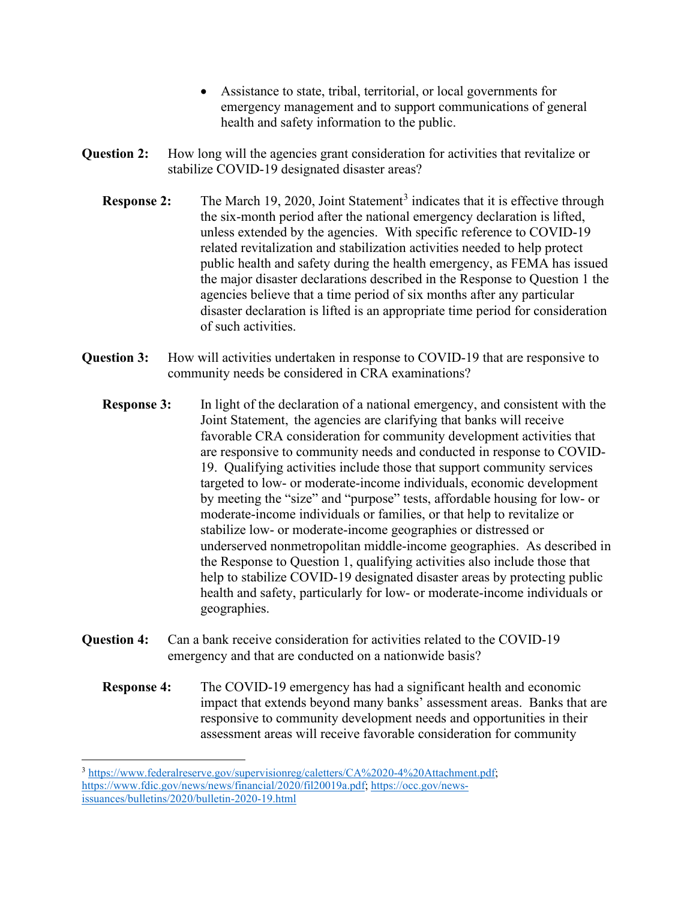- Assistance to state, tribal, territorial, or local governments for emergency management and to support communications of general health and safety information to the public.
- **Question 2:** How long will the agencies grant consideration for activities that revitalize or stabilize COVID-19 designated disaster areas?
	- **Response 2:** The March 19, 2020, Joint Statement<sup>[3](#page-1-0)</sup> indicates that it is effective through the six-month period after the national emergency declaration is lifted, unless extended by the agencies. With specific reference to COVID-19 related revitalization and stabilization activities needed to help protect public health and safety during the health emergency, as FEMA has issued the major disaster declarations described in the Response to Question 1 the agencies believe that a time period of six months after any particular disaster declaration is lifted is an appropriate time period for consideration of such activities.
- **Question 3:** How will activities undertaken in response to COVID-19 that are responsive to community needs be considered in CRA examinations?
	- **Response 3:** In light of the declaration of a national emergency, and consistent with the Joint Statement, the agencies are clarifying that banks will receive favorable CRA consideration for community development activities that are responsive to community needs and conducted in response to COVID-19. Qualifying activities include those that support community services targeted to low- or moderate-income individuals, economic development by meeting the "size" and "purpose" tests, affordable housing for low- or moderate-income individuals or families, or that help to revitalize or stabilize low- or moderate-income geographies or distressed or underserved nonmetropolitan middle-income geographies. As described in the Response to Question 1, qualifying activities also include those that help to stabilize COVID-19 designated disaster areas by protecting public health and safety, particularly for low- or moderate-income individuals or geographies.
- **Question 4:** Can a bank receive consideration for activities related to the COVID-19 emergency and that are conducted on a nationwide basis?
	- **Response 4:** The COVID-19 emergency has had a significant health and economic impact that extends beyond many banks' assessment areas. Banks that are responsive to community development needs and opportunities in their assessment areas will receive favorable consideration for community

<span id="page-1-0"></span><sup>3</sup> [https://www.federalreserve.gov/supervisionreg/caletters/CA%2020-4%20Attachment.pdf;](https://www.federalreserve.gov/supervisionreg/caletters/CA%2020-4%20Attachment.pdf) [https://www.fdic.gov/news/news/financial/2020/fil20019a.pdf;](https://www.fdic.gov/news/news/financial/2020/fil20019a.pdf) [https://occ.gov/news](https://occ.gov/news-issuances/bulletins/2020/bulletin-2020-19.html)[issuances/bulletins/2020/bulletin-2020-19.html](https://occ.gov/news-issuances/bulletins/2020/bulletin-2020-19.html)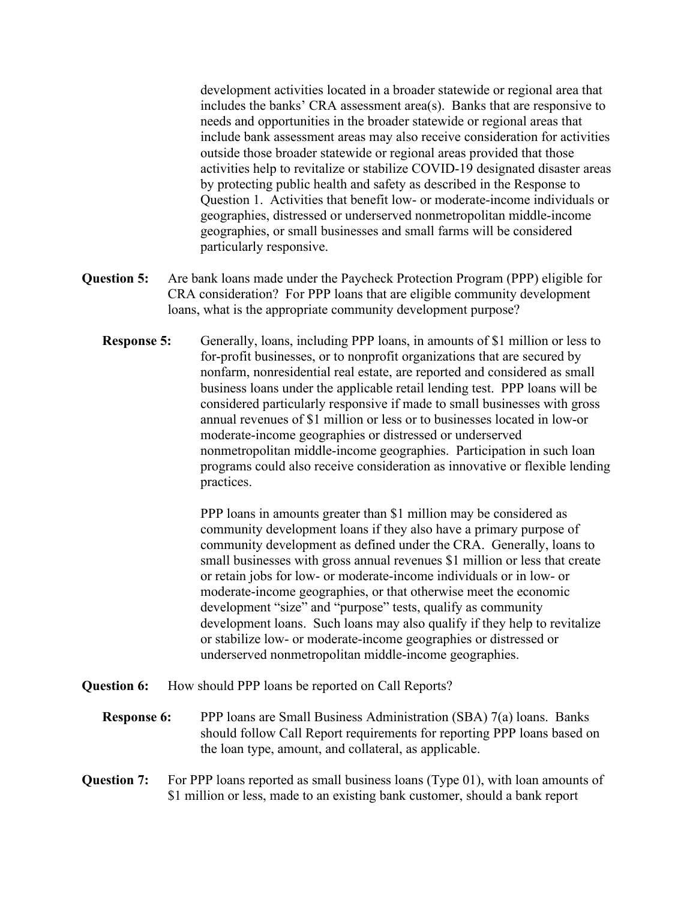development activities located in a broader statewide or regional area that includes the banks' CRA assessment area(s). Banks that are responsive to needs and opportunities in the broader statewide or regional areas that include bank assessment areas may also receive consideration for activities outside those broader statewide or regional areas provided that those activities help to revitalize or stabilize COVID-19 designated disaster areas by protecting public health and safety as described in the Response to Question 1. Activities that benefit low- or moderate-income individuals or geographies, distressed or underserved nonmetropolitan middle-income geographies, or small businesses and small farms will be considered particularly responsive.

- **Question 5:** Are bank loans made under the Paycheck Protection Program (PPP) eligible for CRA consideration? For PPP loans that are eligible community development loans, what is the appropriate community development purpose?
	- **Response 5:** Generally, loans, including PPP loans, in amounts of \$1 million or less to for-profit businesses, or to nonprofit organizations that are secured by nonfarm, nonresidential real estate, are reported and considered as small business loans under the applicable retail lending test. PPP loans will be considered particularly responsive if made to small businesses with gross annual revenues of \$1 million or less or to businesses located in low-or moderate-income geographies or distressed or underserved nonmetropolitan middle-income geographies. Participation in such loan programs could also receive consideration as innovative or flexible lending practices.

PPP loans in amounts greater than \$1 million may be considered as community development loans if they also have a primary purpose of community development as defined under the CRA. Generally, loans to small businesses with gross annual revenues \$1 million or less that create or retain jobs for low- or moderate-income individuals or in low- or moderate-income geographies, or that otherwise meet the economic development "size" and "purpose" tests, qualify as community development loans. Such loans may also qualify if they help to revitalize or stabilize low- or moderate-income geographies or distressed or underserved nonmetropolitan middle-income geographies.

- **Question 6:** How should PPP loans be reported on Call Reports?
	- **Response 6:** PPP loans are Small Business Administration (SBA) 7(a) loans. Banks should follow Call Report requirements for reporting PPP loans based on the loan type, amount, and collateral, as applicable.
- **Question 7:** For PPP loans reported as small business loans (Type 01), with loan amounts of \$1 million or less, made to an existing bank customer, should a bank report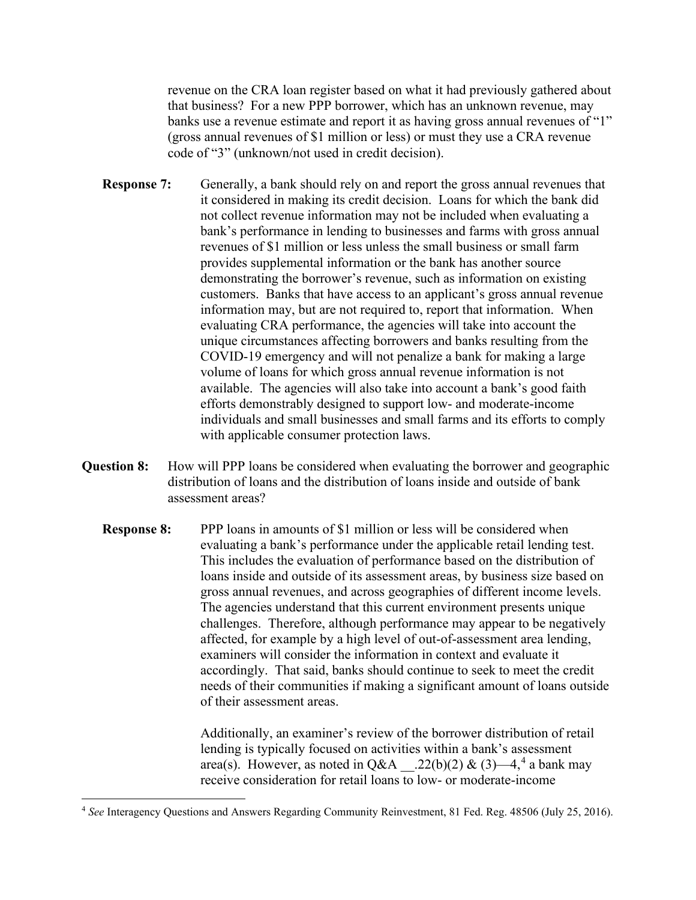revenue on the CRA loan register based on what it had previously gathered about that business? For a new PPP borrower, which has an unknown revenue, may banks use a revenue estimate and report it as having gross annual revenues of "1" (gross annual revenues of \$1 million or less) or must they use a CRA revenue code of "3" (unknown/not used in credit decision).

- **Response 7:** Generally, a bank should rely on and report the gross annual revenues that it considered in making its credit decision. Loans for which the bank did not collect revenue information may not be included when evaluating a bank's performance in lending to businesses and farms with gross annual revenues of \$1 million or less unless the small business or small farm provides supplemental information or the bank has another source demonstrating the borrower's revenue, such as information on existing customers. Banks that have access to an applicant's gross annual revenue information may, but are not required to, report that information. When evaluating CRA performance, the agencies will take into account the unique circumstances affecting borrowers and banks resulting from the COVID-19 emergency and will not penalize a bank for making a large volume of loans for which gross annual revenue information is not available. The agencies will also take into account a bank's good faith efforts demonstrably designed to support low- and moderate-income individuals and small businesses and small farms and its efforts to comply with applicable consumer protection laws.
- **Question 8:** How will PPP loans be considered when evaluating the borrower and geographic distribution of loans and the distribution of loans inside and outside of bank assessment areas?
	- **Response 8:** PPP loans in amounts of \$1 million or less will be considered when evaluating a bank's performance under the applicable retail lending test. This includes the evaluation of performance based on the distribution of loans inside and outside of its assessment areas, by business size based on gross annual revenues, and across geographies of different income levels. The agencies understand that this current environment presents unique challenges. Therefore, although performance may appear to be negatively affected, for example by a high level of out-of-assessment area lending, examiners will consider the information in context and evaluate it accordingly. That said, banks should continue to seek to meet the credit needs of their communities if making a significant amount of loans outside of their assessment areas.

Additionally, an examiner's review of the borrower distribution of retail lending is typically focused on activities within a bank's assessment area(s). However, as noted in  $Q&A$   $.22(b)(2) & (3)$   $-4$  $-4$ , <sup>4</sup> a bank may receive consideration for retail loans to low- or moderate-income

<span id="page-3-0"></span><sup>4</sup> *See* Interagency Questions and Answers Regarding Community Reinvestment, 81 Fed. Reg. 48506 (July 25, 2016).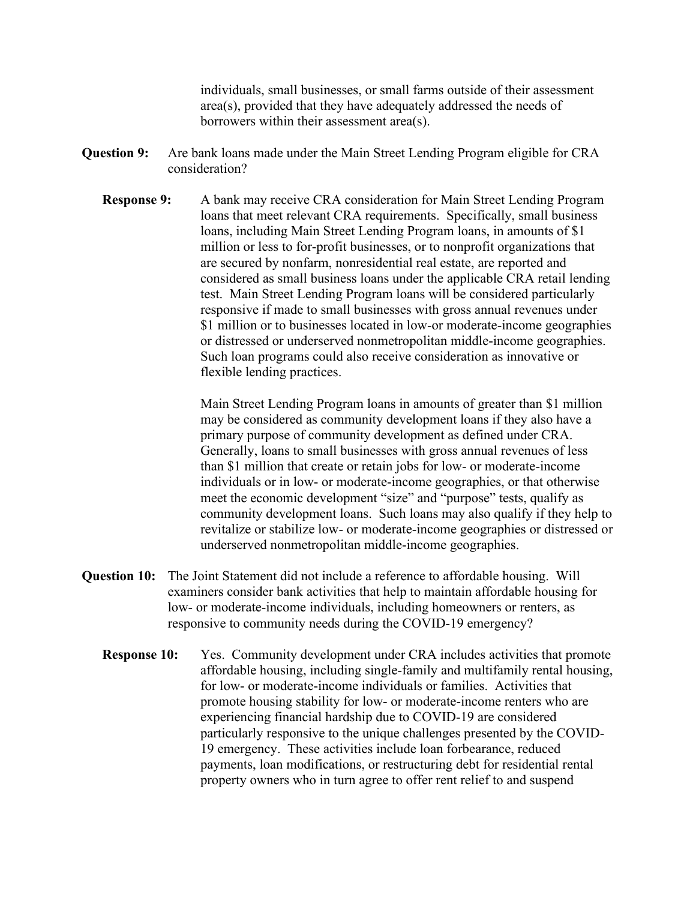individuals, small businesses, or small farms outside of their assessment area(s), provided that they have adequately addressed the needs of borrowers within their assessment area(s).

- **Question 9:** Are bank loans made under the Main Street Lending Program eligible for CRA consideration?
	- **Response 9:** A bank may receive CRA consideration for Main Street Lending Program loans that meet relevant CRA requirements. Specifically, small business loans, including Main Street Lending Program loans, in amounts of \$1 million or less to for-profit businesses, or to nonprofit organizations that are secured by nonfarm, nonresidential real estate, are reported and considered as small business loans under the applicable CRA retail lending test. Main Street Lending Program loans will be considered particularly responsive if made to small businesses with gross annual revenues under \$1 million or to businesses located in low-or moderate-income geographies or distressed or underserved nonmetropolitan middle-income geographies. Such loan programs could also receive consideration as innovative or flexible lending practices.

Main Street Lending Program loans in amounts of greater than \$1 million may be considered as community development loans if they also have a primary purpose of community development as defined under CRA. Generally, loans to small businesses with gross annual revenues of less than \$1 million that create or retain jobs for low- or moderate-income individuals or in low- or moderate-income geographies, or that otherwise meet the economic development "size" and "purpose" tests, qualify as community development loans. Such loans may also qualify if they help to revitalize or stabilize low- or moderate-income geographies or distressed or underserved nonmetropolitan middle-income geographies.

- **Question 10:** The Joint Statement did not include a reference to affordable housing. Will examiners consider bank activities that help to maintain affordable housing for low- or moderate-income individuals, including homeowners or renters, as responsive to community needs during the COVID-19 emergency?
	- **Response 10:** Yes. Community development under CRA includes activities that promote affordable housing, including single-family and multifamily rental housing, for low- or moderate-income individuals or families. Activities that promote housing stability for low- or moderate-income renters who are experiencing financial hardship due to COVID-19 are considered particularly responsive to the unique challenges presented by the COVID-19 emergency. These activities include loan forbearance, reduced payments, loan modifications, or restructuring debt for residential rental property owners who in turn agree to offer rent relief to and suspend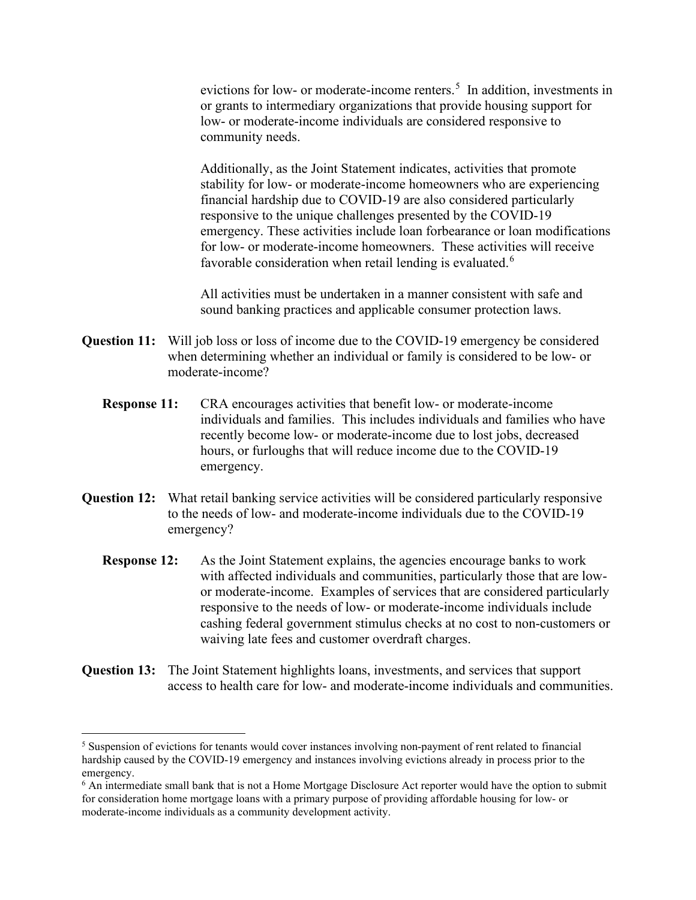evictions for low- or moderate-income renters.<sup>[5](#page-5-0)</sup> In addition, investments in or grants to intermediary organizations that provide housing support for low- or moderate-income individuals are considered responsive to community needs.

Additionally, as the Joint Statement indicates, activities that promote stability for low- or moderate-income homeowners who are experiencing financial hardship due to COVID-19 are also considered particularly responsive to the unique challenges presented by the COVID-19 emergency. These activities include loan forbearance or loan modifications for low- or moderate-income homeowners. These activities will receive favorable consideration when retail lending is evaluated.<sup>[6](#page-5-1)</sup>

All activities must be undertaken in a manner consistent with safe and sound banking practices and applicable consumer protection laws.

- **Question 11:** Will job loss or loss of income due to the COVID-19 emergency be considered when determining whether an individual or family is considered to be low- or moderate-income?
	- **Response 11:** CRA encourages activities that benefit low- or moderate-income individuals and families. This includes individuals and families who have recently become low- or moderate-income due to lost jobs, decreased hours, or furloughs that will reduce income due to the COVID-19 emergency.
- **Question 12:** What retail banking service activities will be considered particularly responsive to the needs of low- and moderate-income individuals due to the COVID-19 emergency?
	- **Response 12:** As the Joint Statement explains, the agencies encourage banks to work with affected individuals and communities, particularly those that are lowor moderate-income. Examples of services that are considered particularly responsive to the needs of low- or moderate-income individuals include cashing federal government stimulus checks at no cost to non-customers or waiving late fees and customer overdraft charges.
- **Question 13:** The Joint Statement highlights loans, investments, and services that support access to health care for low- and moderate-income individuals and communities.

<span id="page-5-0"></span><sup>5</sup> Suspension of evictions for tenants would cover instances involving non-payment of rent related to financial hardship caused by the COVID-19 emergency and instances involving evictions already in process prior to the emergency.

<span id="page-5-1"></span><sup>&</sup>lt;sup>6</sup> An intermediate small bank that is not a Home Mortgage Disclosure Act reporter would have the option to submit for consideration home mortgage loans with a primary purpose of providing affordable housing for low- or moderate-income individuals as a community development activity.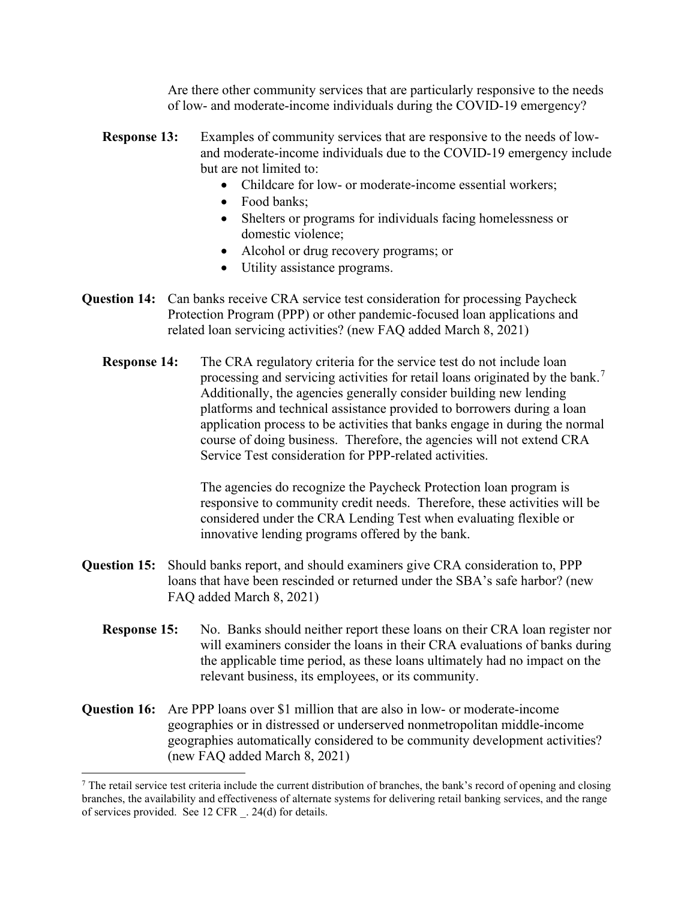Are there other community services that are particularly responsive to the needs of low- and moderate-income individuals during the COVID-19 emergency?

- **Response 13:** Examples of community services that are responsive to the needs of lowand moderate-income individuals due to the COVID-19 emergency include but are not limited to:
	- Childcare for low- or moderate-income essential workers;
	- Food banks:
	- Shelters or programs for individuals facing homelessness or domestic violence;
	- Alcohol or drug recovery programs; or
	- Utility assistance programs.
- **Question 14:** Can banks receive CRA service test consideration for processing Paycheck Protection Program (PPP) or other pandemic-focused loan applications and related loan servicing activities? (new FAQ added March 8, 2021)
	- **Response 14:** The CRA regulatory criteria for the service test do not include loan processing and servicing activities for retail loans originated by the bank.<sup>[7](#page-6-0)</sup> Additionally, the agencies generally consider building new lending platforms and technical assistance provided to borrowers during a loan application process to be activities that banks engage in during the normal course of doing business. Therefore, the agencies will not extend CRA Service Test consideration for PPP-related activities.

The agencies do recognize the Paycheck Protection loan program is responsive to community credit needs. Therefore, these activities will be considered under the CRA Lending Test when evaluating flexible or innovative lending programs offered by the bank.

- **Question 15:** Should banks report, and should examiners give CRA consideration to, PPP loans that have been rescinded or returned under the SBA's safe harbor? (new FAQ added March 8, 2021)
	- **Response 15:** No. Banks should neither report these loans on their CRA loan register nor will examiners consider the loans in their CRA evaluations of banks during the applicable time period, as these loans ultimately had no impact on the relevant business, its employees, or its community.
- **Question 16:** Are PPP loans over \$1 million that are also in low- or moderate-income geographies or in distressed or underserved nonmetropolitan middle-income geographies automatically considered to be community development activities? (new FAQ added March 8, 2021)

<span id="page-6-0"></span> $<sup>7</sup>$  The retail service test criteria include the current distribution of branches, the bank's record of opening and closing</sup> branches, the availability and effectiveness of alternate systems for delivering retail banking services, and the range of services provided. See 12 CFR \_. 24(d) for details.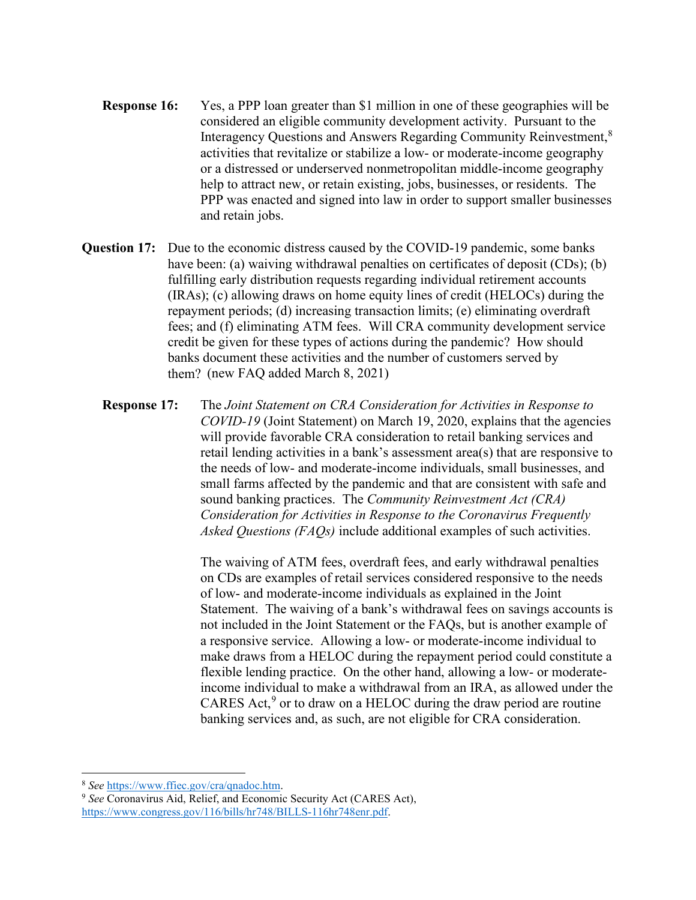- **Response 16:** Yes, a PPP loan greater than \$1 million in one of these geographies will be considered an eligible community development activity. Pursuant to the Interagency Questions and Answers Regarding Community Reinvestment,<sup>[8](#page-7-0)</sup> activities that revitalize or stabilize a low- or moderate-income geography or a distressed or underserved nonmetropolitan middle-income geography help to attract new, or retain existing, jobs, businesses, or residents. The PPP was enacted and signed into law in order to support smaller businesses and retain jobs.
- **Question 17:** Due to the economic distress caused by the COVID-19 pandemic, some banks have been: (a) waiving withdrawal penalties on certificates of deposit (CDs); (b) fulfilling early distribution requests regarding individual retirement accounts (IRAs); (c) allowing draws on home equity lines of credit (HELOCs) during the repayment periods; (d) increasing transaction limits; (e) eliminating overdraft fees; and (f) eliminating ATM fees. Will CRA community development service credit be given for these types of actions during the pandemic? How should banks document these activities and the number of customers served by them? (new FAQ added March 8, 2021)
	- **Response 17:** The *[Joint Statement on CRA Consideration for Activities in Response to](https://www.federalreserve.gov/supervisionreg/caletters/CA%2020-4%20Attachment.pdf)  [COVID-19](https://www.federalreserve.gov/supervisionreg/caletters/CA%2020-4%20Attachment.pdf)* (Joint Statement) on March 19, 2020, explains that the agencies will provide favorable CRA consideration to retail banking services and retail lending activities in a bank's assessment area(s) that are responsive to the needs of low- and moderate-income individuals, small businesses, and small farms affected by the pandemic and that are consistent with safe and sound banking practices. The *Community Reinvestment Act (CRA) Consideration for Activities in Response to the Coronavirus Frequently Asked Questions (FAQs)* include additional examples of such activities.

The waiving of ATM fees, overdraft fees, and early withdrawal penalties on CDs are examples of retail services considered responsive to the needs of low- and moderate-income individuals as explained in the Joint Statement. The waiving of a bank's withdrawal fees on savings accounts is not included in the Joint Statement or the FAQs, but is another example of a responsive service. Allowing a low- or moderate-income individual to make draws from a HELOC during the repayment period could constitute a flexible lending practice. On the other hand, allowing a low- or moderateincome individual to make a withdrawal from an IRA, as allowed under the CARES Act, $9$  or to draw on a HELOC during the draw period are routine banking services and, as such, are not eligible for CRA consideration.

<span id="page-7-0"></span><sup>8</sup> *See* [https://www.ffiec.gov/cra/qnadoc.htm.](https://www.ffiec.gov/cra/qnadoc.htm)

<span id="page-7-1"></span><sup>9</sup> *See* Coronavirus Aid, Relief, and Economic Security Act (CARES Act), [https://www.congress.gov/116/bills/hr748/BILLS-116hr748enr.pdf.](https://www.congress.gov/116/bills/hr748/BILLS-116hr748enr.pdf)